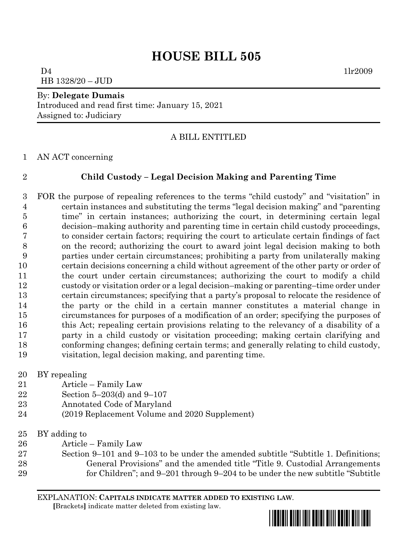$D4$  1lr2009 HB 1328/20 – JUD

#### By: **Delegate Dumais**

Introduced and read first time: January 15, 2021 Assigned to: Judiciary

## A BILL ENTITLED

AN ACT concerning

## **Child Custody – Legal Decision Making and Parenting Time**

 FOR the purpose of repealing references to the terms "child custody" and "visitation" in certain instances and substituting the terms "legal decision making" and "parenting time" in certain instances; authorizing the court, in determining certain legal decision–making authority and parenting time in certain child custody proceedings, to consider certain factors; requiring the court to articulate certain findings of fact on the record; authorizing the court to award joint legal decision making to both parties under certain circumstances; prohibiting a party from unilaterally making certain decisions concerning a child without agreement of the other party or order of the court under certain circumstances; authorizing the court to modify a child custody or visitation order or a legal decision–making or parenting–time order under certain circumstances; specifying that a party's proposal to relocate the residence of the party or the child in a certain manner constitutes a material change in circumstances for purposes of a modification of an order; specifying the purposes of this Act; repealing certain provisions relating to the relevancy of a disability of a party in a child custody or visitation proceeding; making certain clarifying and conforming changes; defining certain terms; and generally relating to child custody, visitation, legal decision making, and parenting time.

- BY repealing
- Article Family Law
- Section 5–203(d) and 9–107
- Annotated Code of Maryland
- (2019 Replacement Volume and 2020 Supplement)
- BY adding to
- Article Family Law
- Section 9–101 and 9–103 to be under the amended subtitle "Subtitle 1. Definitions; General Provisions" and the amended title "Title 9. Custodial Arrangements for Children"; and 9–201 through 9–204 to be under the new subtitle "Subtitle

EXPLANATION: **CAPITALS INDICATE MATTER ADDED TO EXISTING LAW**.

 **[**Brackets**]** indicate matter deleted from existing law.

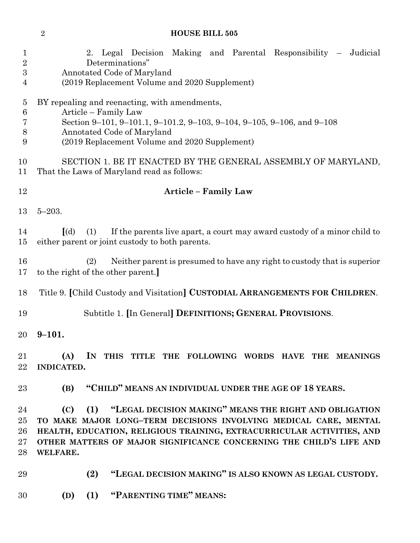| $\mathbf{1}$<br>$\overline{2}$<br>$\boldsymbol{3}$<br>4 | 2. Legal Decision Making and Parental Responsibility – Judicial<br>Determinations"<br>Annotated Code of Maryland<br>(2019 Replacement Volume and 2020 Supplement)                                                                                                                                  |
|---------------------------------------------------------|----------------------------------------------------------------------------------------------------------------------------------------------------------------------------------------------------------------------------------------------------------------------------------------------------|
| $\overline{5}$<br>$\,6$<br>7<br>$8\,$<br>9              | BY repealing and reenacting, with amendments,<br>Article - Family Law<br>Section 9-101, 9-101.1, 9-101.2, 9-103, 9-104, 9-105, 9-106, and 9-108<br>Annotated Code of Maryland<br>(2019 Replacement Volume and 2020 Supplement)                                                                     |
| 10<br>11                                                | SECTION 1. BE IT ENACTED BY THE GENERAL ASSEMBLY OF MARYLAND,<br>That the Laws of Maryland read as follows:                                                                                                                                                                                        |
| 12                                                      | <b>Article - Family Law</b>                                                                                                                                                                                                                                                                        |
| 13                                                      | $5 - 203.$                                                                                                                                                                                                                                                                                         |
| 14<br>15                                                | $\lceil$ (d)<br>If the parents live apart, a court may award custody of a minor child to<br>(1)<br>either parent or joint custody to both parents.                                                                                                                                                 |
| 16<br>17                                                | Neither parent is presumed to have any right to custody that is superior<br>(2)<br>to the right of the other parent.                                                                                                                                                                               |
| 18                                                      | Title 9. [Child Custody and Visitation] CUSTODIAL ARRANGEMENTS FOR CHILDREN.                                                                                                                                                                                                                       |
| 19                                                      | Subtitle 1. [In General] DEFINITIONS; GENERAL PROVISIONS.                                                                                                                                                                                                                                          |
| 20                                                      | $9 - 101.$                                                                                                                                                                                                                                                                                         |
| 21<br>$22\,$                                            | (A)<br>IN THIS TITLE THE FOLLOWING WORDS HAVE THE MEANINGS<br><b>INDICATED.</b>                                                                                                                                                                                                                    |
| 23                                                      | "CHILD" MEANS AN INDIVIDUAL UNDER THE AGE OF 18 YEARS.<br>(B)                                                                                                                                                                                                                                      |
| 24<br>$25\,$<br>26<br>$27\,$<br>28                      | (1) "LEGAL DECISION MAKING" MEANS THE RIGHT AND OBLIGATION<br>(C)<br>TO MAKE MAJOR LONG-TERM DECISIONS INVOLVING MEDICAL CARE, MENTAL<br>HEALTH, EDUCATION, RELIGIOUS TRAINING, EXTRACURRICULAR ACTIVITIES, AND<br>OTHER MATTERS OF MAJOR SIGNIFICANCE CONCERNING THE CHILD'S LIFE AND<br>WELFARE. |
| 29                                                      | "LEGAL DECISION MAKING" IS ALSO KNOWN AS LEGAL CUSTODY.<br>(2)                                                                                                                                                                                                                                     |
| 30                                                      | "PARENTING TIME" MEANS:<br>(D)<br>(1)                                                                                                                                                                                                                                                              |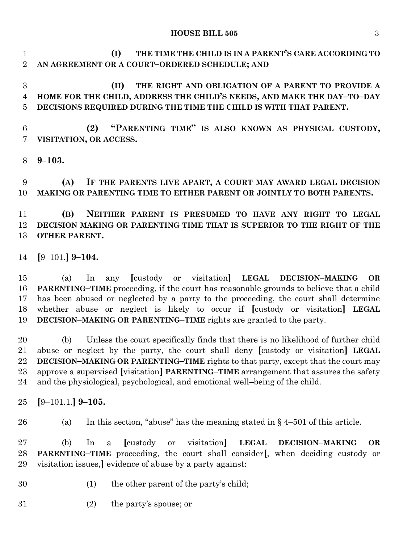**(I) THE TIME THE CHILD IS IN A PARENT'S CARE ACCORDING TO AN AGREEMENT OR A COURT–ORDERED SCHEDULE; AND** 

 **(II) THE RIGHT AND OBLIGATION OF A PARENT TO PROVIDE A HOME FOR THE CHILD, ADDRESS THE CHILD'S NEEDS, AND MAKE THE DAY–TO–DAY DECISIONS REQUIRED DURING THE TIME THE CHILD IS WITH THAT PARENT.**

 **(2) "PARENTING TIME" IS ALSO KNOWN AS PHYSICAL CUSTODY, VISITATION, OR ACCESS.**

**9–103.**

 **(A) IF THE PARENTS LIVE APART, A COURT MAY AWARD LEGAL DECISION MAKING OR PARENTING TIME TO EITHER PARENT OR JOINTLY TO BOTH PARENTS.**

 **(B) NEITHER PARENT IS PRESUMED TO HAVE ANY RIGHT TO LEGAL DECISION MAKING OR PARENTING TIME THAT IS SUPERIOR TO THE RIGHT OF THE OTHER PARENT.**

**[**9–101.**] 9–104.**

 (a) In any **[**custody or visitation**] LEGAL DECISION–MAKING OR PARENTING–TIME** proceeding, if the court has reasonable grounds to believe that a child has been abused or neglected by a party to the proceeding, the court shall determine whether abuse or neglect is likely to occur if **[**custody or visitation**] LEGAL DECISION–MAKING OR PARENTING–TIME** rights are granted to the party.

 (b) Unless the court specifically finds that there is no likelihood of further child abuse or neglect by the party, the court shall deny **[**custody or visitation**] LEGAL DECISION–MAKING OR PARENTING–TIME** rights to that party, except that the court may approve a supervised **[**visitation**] PARENTING–TIME** arrangement that assures the safety and the physiological, psychological, and emotional well–being of the child.

- **[**9–101.1.**] 9–105.**
- 

26 (a) In this section, "abuse" has the meaning stated in  $\S$  4–501 of this article.

 (b) In a **[**custody or visitation**] LEGAL DECISION–MAKING OR PARENTING–TIME** proceeding, the court shall consider**[**, when deciding custody or visitation issues,**]** evidence of abuse by a party against:

- (1) the other parent of the party's child;
- (2) the party's spouse; or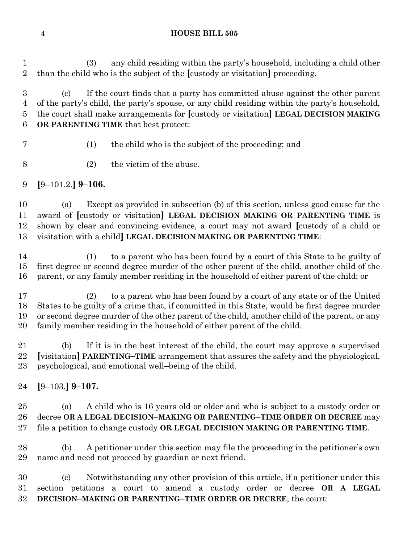(3) any child residing within the party's household, including a child other than the child who is the subject of the **[**custody or visitation**]** proceeding.

 (c) If the court finds that a party has committed abuse against the other parent of the party's child, the party's spouse, or any child residing within the party's household, the court shall make arrangements for **[**custody or visitation**] LEGAL DECISION MAKING OR PARENTING TIME** that best protect:

(1) the child who is the subject of the proceeding; and

(2) the victim of the abuse.

**[**9–101.2.**] 9–106.**

 (a) Except as provided in subsection (b) of this section, unless good cause for the award of **[**custody or visitation**] LEGAL DECISION MAKING OR PARENTING TIME** is shown by clear and convincing evidence, a court may not award **[**custody of a child or visitation with a child**] LEGAL DECISION MAKING OR PARENTING TIME**:

 (1) to a parent who has been found by a court of this State to be guilty of first degree or second degree murder of the other parent of the child, another child of the parent, or any family member residing in the household of either parent of the child; or

 (2) to a parent who has been found by a court of any state or of the United States to be guilty of a crime that, if committed in this State, would be first degree murder or second degree murder of the other parent of the child, another child of the parent, or any family member residing in the household of either parent of the child.

 (b) If it is in the best interest of the child, the court may approve a supervised **[**visitation**] PARENTING–TIME** arrangement that assures the safety and the physiological, psychological, and emotional well–being of the child.

**[**9–103.**] 9–107.**

 (a) A child who is 16 years old or older and who is subject to a custody order or decree **OR A LEGAL DECISION–MAKING OR PARENTING–TIME ORDER OR DECREE** may file a petition to change custody **OR LEGAL DECISION MAKING OR PARENTING TIME**.

 (b) A petitioner under this section may file the proceeding in the petitioner's own name and need not proceed by guardian or next friend.

 (c) Notwithstanding any other provision of this article, if a petitioner under this section petitions a court to amend a custody order or decree **OR A LEGAL DECISION–MAKING OR PARENTING–TIME ORDER OR DECREE**, the court: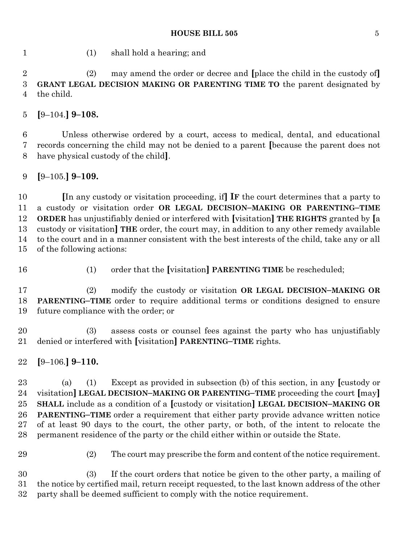(1) shall hold a hearing; and

 (2) may amend the order or decree and **[**place the child in the custody of**] GRANT LEGAL DECISION MAKING OR PARENTING TIME TO** the parent designated by the child.

**[**9–104.**] 9–108.**

 Unless otherwise ordered by a court, access to medical, dental, and educational records concerning the child may not be denied to a parent **[**because the parent does not have physical custody of the child**]**.

# **[**9–105.**] 9–109.**

 **[**In any custody or visitation proceeding, if**] IF** the court determines that a party to a custody or visitation order **OR LEGAL DECISION–MAKING OR PARENTING–TIME ORDER** has unjustifiably denied or interfered with **[**visitation**] THE RIGHTS** granted by **[**a custody or visitation**] THE** order, the court may, in addition to any other remedy available to the court and in a manner consistent with the best interests of the child, take any or all of the following actions:

- 
- (1) order that the **[**visitation**] PARENTING TIME** be rescheduled;

 (2) modify the custody or visitation **OR LEGAL DECISION–MAKING OR PARENTING–TIME** order to require additional terms or conditions designed to ensure future compliance with the order; or

 (3) assess costs or counsel fees against the party who has unjustifiably denied or interfered with **[**visitation**] PARENTING–TIME** rights.

**[**9–106.**] 9–110.**

 (a) (1) Except as provided in subsection (b) of this section, in any **[**custody or visitation**] LEGAL DECISION–MAKING OR PARENTING–TIME** proceeding the court **[**may**] SHALL** include as a condition of a **[**custody or visitation**] LEGAL DECISION–MAKING OR PARENTING–TIME** order a requirement that either party provide advance written notice of at least 90 days to the court, the other party, or both, of the intent to relocate the permanent residence of the party or the child either within or outside the State.

(2) The court may prescribe the form and content of the notice requirement.

 (3) If the court orders that notice be given to the other party, a mailing of the notice by certified mail, return receipt requested, to the last known address of the other party shall be deemed sufficient to comply with the notice requirement.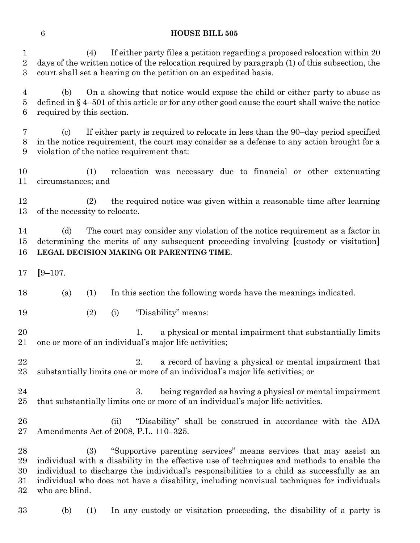(4) If either party files a petition regarding a proposed relocation within 20 days of the written notice of the relocation required by paragraph (1) of this subsection, the court shall set a hearing on the petition on an expedited basis.

 (b) On a showing that notice would expose the child or either party to abuse as defined in § 4–501 of this article or for any other good cause the court shall waive the notice required by this section.

 (c) If either party is required to relocate in less than the 90–day period specified in the notice requirement, the court may consider as a defense to any action brought for a violation of the notice requirement that:

 (1) relocation was necessary due to financial or other extenuating circumstances; and

 (2) the required notice was given within a reasonable time after learning of the necessity to relocate.

 (d) The court may consider any violation of the notice requirement as a factor in determining the merits of any subsequent proceeding involving **[**custody or visitation**] LEGAL DECISION MAKING OR PARENTING TIME**.

- **[**9–107.
- (a) (1) In this section the following words have the meanings indicated.
- (2) (i) "Disability" means:

20 1. a physical or mental impairment that substantially limits one or more of an individual's major life activities;

22 2. a record of having a physical or mental impairment that substantially limits one or more of an individual's major life activities; or

 3. being regarded as having a physical or mental impairment that substantially limits one or more of an individual's major life activities.

 (ii) "Disability" shall be construed in accordance with the ADA Amendments Act of 2008, P.L. 110–325.

 (3) "Supportive parenting services" means services that may assist an individual with a disability in the effective use of techniques and methods to enable the individual to discharge the individual's responsibilities to a child as successfully as an individual who does not have a disability, including nonvisual techniques for individuals who are blind.

(b) (1) In any custody or visitation proceeding, the disability of a party is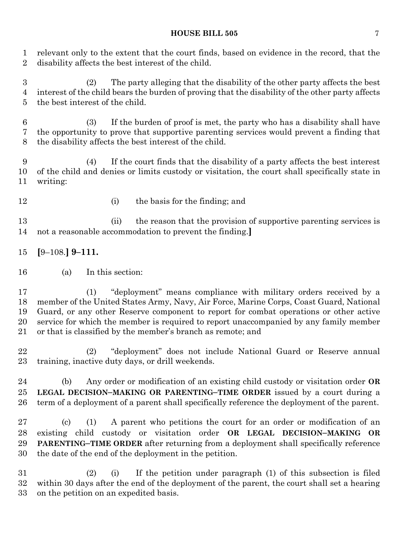relevant only to the extent that the court finds, based on evidence in the record, that the disability affects the best interest of the child.

 (2) The party alleging that the disability of the other party affects the best interest of the child bears the burden of proving that the disability of the other party affects the best interest of the child.

 (3) If the burden of proof is met, the party who has a disability shall have the opportunity to prove that supportive parenting services would prevent a finding that the disability affects the best interest of the child.

 (4) If the court finds that the disability of a party affects the best interest of the child and denies or limits custody or visitation, the court shall specifically state in writing:

12 (i) the basis for the finding; and

 (ii) the reason that the provision of supportive parenting services is not a reasonable accommodation to prevent the finding.**]**

- **[**9–108.**] 9–111.**
- (a) In this section:

 (1) "deployment" means compliance with military orders received by a member of the United States Army, Navy, Air Force, Marine Corps, Coast Guard, National Guard, or any other Reserve component to report for combat operations or other active service for which the member is required to report unaccompanied by any family member or that is classified by the member's branch as remote; and

 (2) "deployment" does not include National Guard or Reserve annual training, inactive duty days, or drill weekends.

 (b) Any order or modification of an existing child custody or visitation order **OR LEGAL DECISION–MAKING OR PARENTING–TIME ORDER** issued by a court during a term of a deployment of a parent shall specifically reference the deployment of the parent.

 (c) (1) A parent who petitions the court for an order or modification of an existing child custody or visitation order **OR LEGAL DECISION–MAKING OR PARENTING–TIME ORDER** after returning from a deployment shall specifically reference the date of the end of the deployment in the petition.

 (2) (i) If the petition under paragraph (1) of this subsection is filed within 30 days after the end of the deployment of the parent, the court shall set a hearing on the petition on an expedited basis.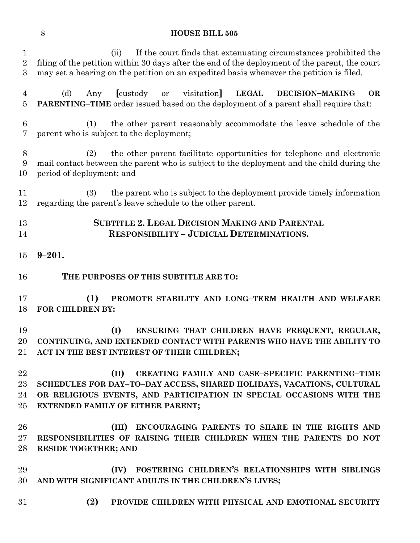| $\mathbf{1}$<br>$\sqrt{2}$<br>3 | If the court finds that extenuating circumstances prohibited the<br>(ii)<br>filing of the petition within 30 days after the end of the deployment of the parent, the court<br>may set a hearing on the petition on an expedited basis whenever the petition is filed. |
|---------------------------------|-----------------------------------------------------------------------------------------------------------------------------------------------------------------------------------------------------------------------------------------------------------------------|
| $\overline{4}$<br>5             | (d)<br><b>Custody</b><br>visitation<br><b>LEGAL</b><br>Any<br>DECISION-MAKING<br><b>OR</b><br>or<br><b>PARENTING-TIME</b> order issued based on the deployment of a parent shall require that:                                                                        |
| $6\phantom{.}6$<br>7            | the other parent reasonably accommodate the leave schedule of the<br>(1)<br>parent who is subject to the deployment;                                                                                                                                                  |
| 8<br>9<br>10                    | the other parent facilitate opportunities for telephone and electronic<br>(2)<br>mail contact between the parent who is subject to the deployment and the child during the<br>period of deployment; and                                                               |
| 11<br>12                        | the parent who is subject to the deployment provide timely information<br>(3)<br>regarding the parent's leave schedule to the other parent.                                                                                                                           |
| 13<br>14                        | <b>SUBTITLE 2. LEGAL DECISION MAKING AND PARENTAL</b><br><b>RESPONSIBILITY - JUDICIAL DETERMINATIONS.</b>                                                                                                                                                             |
| 15                              | $9 - 201.$                                                                                                                                                                                                                                                            |
| 16                              | THE PURPOSES OF THIS SUBTITLE ARE TO:                                                                                                                                                                                                                                 |
| 17<br>18                        | (1)<br>PROMOTE STABILITY AND LONG-TERM HEALTH AND WELFARE<br>FOR CHILDREN BY:                                                                                                                                                                                         |
| 19<br>20<br>21                  | (I)<br>ENSURING THAT CHILDREN HAVE FREQUENT, REGULAR,<br>CONTINUING, AND EXTENDED CONTACT WITH PARENTS WHO HAVE THE ABILITY TO<br>ACT IN THE BEST INTEREST OF THEIR CHILDREN;                                                                                         |
| 22<br>23<br>24<br>25            | (II)<br>CREATING FAMILY AND CASE-SPECIFIC PARENTING-TIME<br>SCHEDULES FOR DAY-TO-DAY ACCESS, SHARED HOLIDAYS, VACATIONS, CULTURAL<br>OR RELIGIOUS EVENTS, AND PARTICIPATION IN SPECIAL OCCASIONS WITH THE<br><b>EXTENDED FAMILY OF EITHER PARENT;</b>                 |
| 26<br>27<br>28                  | ENCOURAGING PARENTS TO SHARE IN THE RIGHTS AND<br>(III)<br>RESPONSIBILITIES OF RAISING THEIR CHILDREN WHEN THE PARENTS DO NOT<br><b>RESIDE TOGETHER; AND</b>                                                                                                          |
| 29<br>30                        | (IV) FOSTERING CHILDREN'S RELATIONSHIPS WITH SIBLINGS<br>AND WITH SIGNIFICANT ADULTS IN THE CHILDREN'S LIVES;                                                                                                                                                         |
| 31                              | (2)<br>PROVIDE CHILDREN WITH PHYSICAL AND EMOTIONAL SECURITY                                                                                                                                                                                                          |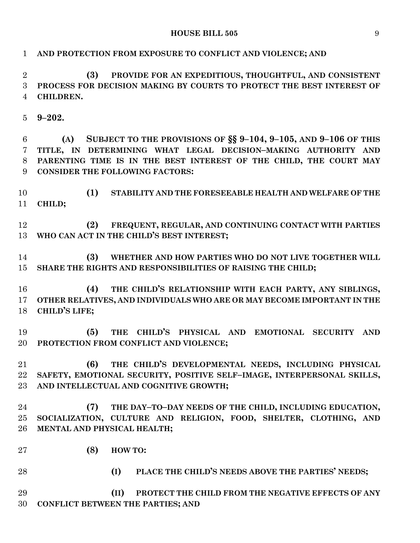| $\mathbf{1}$   | AND PROTECTION FROM EXPOSURE TO CONFLICT AND VIOLENCE; AND                 |
|----------------|----------------------------------------------------------------------------|
| $\overline{2}$ | PROVIDE FOR AN EXPEDITIOUS, THOUGHTFUL, AND CONSISTENT<br>(3)              |
| 3              | PROCESS FOR DECISION MAKING BY COURTS TO PROTECT THE BEST INTEREST OF      |
| $\overline{4}$ | CHILDREN.                                                                  |
| 5              | $9 - 202.$                                                                 |
| 6              | SUBJECT TO THE PROVISIONS OF $\S$ § 9-104, 9-105, AND 9-106 OF THIS<br>(A) |
| $\overline{7}$ | TITLE, IN DETERMINING WHAT LEGAL DECISION-MAKING AUTHORITY AND             |
| 8              | PARENTING TIME IS IN THE BEST INTEREST OF THE CHILD, THE COURT MAY         |
| 9              | <b>CONSIDER THE FOLLOWING FACTORS:</b>                                     |
| 10             | (1)<br>STABILITY AND THE FORESEEABLE HEALTH AND WELFARE OF THE             |
| 11             | CHILD;                                                                     |
| 12             | (2)<br>FREQUENT, REGULAR, AND CONTINUING CONTACT WITH PARTIES              |
| 13             | WHO CAN ACT IN THE CHILD'S BEST INTEREST;                                  |
| 14             | WHETHER AND HOW PARTIES WHO DO NOT LIVE TOGETHER WILL<br>(3)               |
| 15             | SHARE THE RIGHTS AND RESPONSIBILITIES OF RAISING THE CHILD;                |
| 16             | THE CHILD'S RELATIONSHIP WITH EACH PARTY, ANY SIBLINGS,<br>(4)             |
| 17             | OTHER RELATIVES, AND INDIVIDUALS WHO ARE OR MAY BECOME IMPORTANT IN THE    |
| 18             | <b>CHILD'S LIFE;</b>                                                       |
| 19             | THE CHILD'S PHYSICAL AND EMOTIONAL SECURITY AND<br>(5)                     |
| 20             | PROTECTION FROM CONFLICT AND VIOLENCE;                                     |
| 21             | THE CHILD'S DEVELOPMENTAL NEEDS, INCLUDING PHYSICAL<br>(6)                 |
| 22             | SAFETY, EMOTIONAL SECURITY, POSITIVE SELF-IMAGE, INTERPERSONAL SKILLS,     |
| $23\,$         | AND INTELLECTUAL AND COGNITIVE GROWTH;                                     |
| 24             | (7)<br>THE DAY-TO-DAY NEEDS OF THE CHILD, INCLUDING EDUCATION,             |
| 25             | SOCIALIZATION, CULTURE AND RELIGION, FOOD, SHELTER, CLOTHING, AND          |
| 26             | MENTAL AND PHYSICAL HEALTH;                                                |
| $27\,$         | (8)<br>HOW TO:                                                             |
| 28             | PLACE THE CHILD'S NEEDS ABOVE THE PARTIES' NEEDS;<br>(I)                   |
| 29             | (II)<br>PROTECT THE CHILD FROM THE NEGATIVE EFFECTS OF ANY                 |
| 30             | <b>CONFLICT BETWEEN THE PARTIES; AND</b>                                   |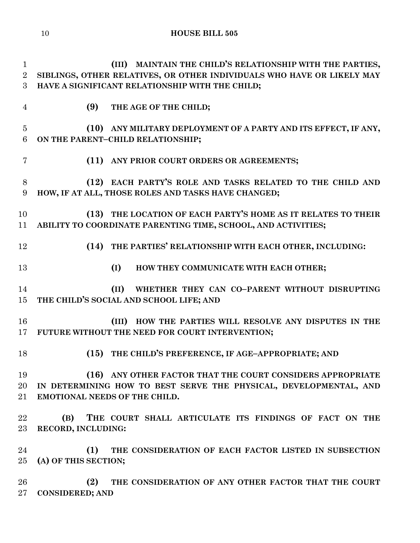**(III) MAINTAIN THE CHILD'S RELATIONSHIP WITH THE PARTIES, SIBLINGS, OTHER RELATIVES, OR OTHER INDIVIDUALS WHO HAVE OR LIKELY MAY HAVE A SIGNIFICANT RELATIONSHIP WITH THE CHILD; (9) THE AGE OF THE CHILD;**

# **(10) ANY MILITARY DEPLOYMENT OF A PARTY AND ITS EFFECT, IF ANY, ON THE PARENT–CHILD RELATIONSHIP;**

**(11) ANY PRIOR COURT ORDERS OR AGREEMENTS;**

 **(12) EACH PARTY'S ROLE AND TASKS RELATED TO THE CHILD AND HOW, IF AT ALL, THOSE ROLES AND TASKS HAVE CHANGED;**

 **(13) THE LOCATION OF EACH PARTY'S HOME AS IT RELATES TO THEIR ABILITY TO COORDINATE PARENTING TIME, SCHOOL, AND ACTIVITIES;**

**(14) THE PARTIES' RELATIONSHIP WITH EACH OTHER, INCLUDING:**

**(I) HOW THEY COMMUNICATE WITH EACH OTHER;**

# **(II) WHETHER THEY CAN CO–PARENT WITHOUT DISRUPTING THE CHILD'S SOCIAL AND SCHOOL LIFE; AND**

 **(III) HOW THE PARTIES WILL RESOLVE ANY DISPUTES IN THE FUTURE WITHOUT THE NEED FOR COURT INTERVENTION;**

**(15) THE CHILD'S PREFERENCE, IF AGE–APPROPRIATE; AND**

 **(16) ANY OTHER FACTOR THAT THE COURT CONSIDERS APPROPRIATE IN DETERMINING HOW TO BEST SERVE THE PHYSICAL, DEVELOPMENTAL, AND EMOTIONAL NEEDS OF THE CHILD.**

 **(B) THE COURT SHALL ARTICULATE ITS FINDINGS OF FACT ON THE RECORD, INCLUDING:**

 **(1) THE CONSIDERATION OF EACH FACTOR LISTED IN SUBSECTION (A) OF THIS SECTION;**

 **(2) THE CONSIDERATION OF ANY OTHER FACTOR THAT THE COURT CONSIDERED; AND**